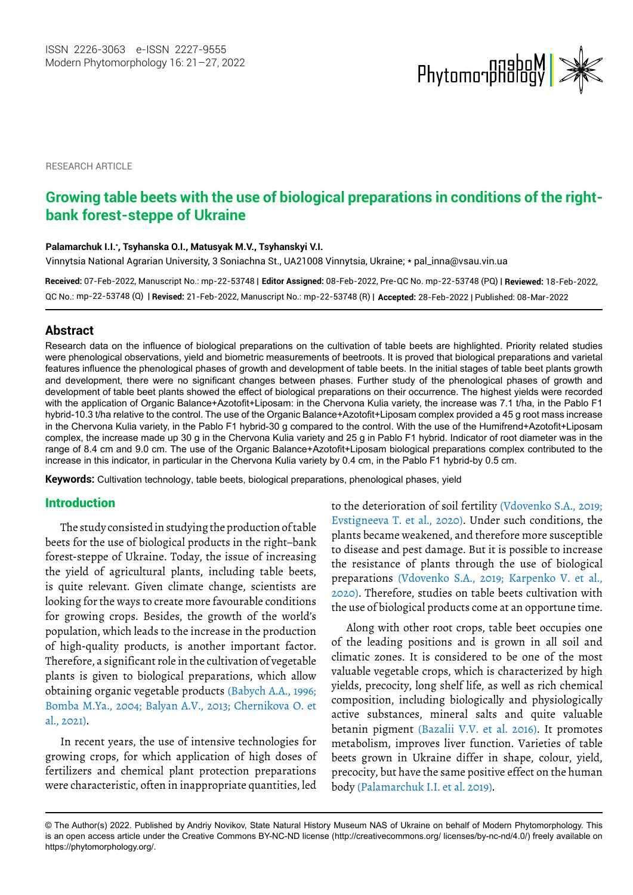

RESEARCH ARTICLE

# **Growing table beets with the use of biological preparations in conditions of the rightbank forest-steppe of Ukraine**

#### **Palamarchuk I.I.\* , Tsyhanska O.I., Matusyak M.V., Tsyhanskyi V.I.**

Vinnytsia National Agrarian University, 3 Soniachna St., UA21008 Vinnytsia, Ukraine; \* pal\_inna@vsau.vin.ua

**Received:** 07-Feb-2022, Manuscript No.: mp-22-53748 | **Editor Assigned:** 08-Feb-2022, Pre-QC [No. mp-22-53748 \(PQ\) |](mailto:edaphic@mail.ru) **Reviewed:** 18-Feb-2022, mp-22-53748 (Q) | **Revised:** 21-Feb-2022, Manuscript No.: mp-22-53748 (R) | **Accepted:** 28-Feb-2022 | Published: 08-Mar-2022 QC No.:

## **Abstract**

Research data on the influence of biological preparations on the cultivation of table beets are highlighted. Priority related studies were phenological observations, yield and biometric measurements of beetroots. It is proved that biological preparations and varietal features influence the phenological phases of growth and development of table beets. In the initial stages of table beet plants growth and development, there were no significant changes between phases. Further study of the phenological phases of growth and development of table beet plants showed the effect of biological preparations on their occurrence. The highest yields were recorded with the application of Organic Balance+Azotofit+Liposam: in the Chervona Kulia variety, the increase was 7.1 t/ha, in the Pablo F1 hybrid-10.3 t/ha relative to the control. The use of the Organic Balance+Azotofit+Liposam complex provided a 45 g root mass increase in the Chervona Kulia variety, in the Pablo F1 hybrid-30 g compared to the control. With the use of the Humifrend+Azotofit+Liposam complex, the increase made up 30 g in the Chervona Kulia variety and 25 g in Pablo F1 hybrid. Indicator of root diameter was in the range of 8.4 cm and 9.0 cm. The use of the Organic Balance+Azotofit+Liposam biological preparations complex contributed to the increase in this indicator, in particular in the Chervona Kulia variety by 0.4 cm, in the Pablo F1 hybrid-by 0.5 cm.

**Keywords:** Cultivation technology, table beets, biological preparations, phenological phases, yield

## **Introduction**

The study consisted in studying the production of table beets for the use of biological products in the right–bank forest-steppe of Ukraine. Today, the issue of increasing the yield of agricultural plants, including table beets, is quite relevant. Given climate change, scientists are looking for the ways to create more favourable conditions for growing crops. Besides, the growth of the world's population, which leads to the increase in the production of high-quality products, is another important factor. Therefore, a significant role in the cultivation of vegetable plants is given to biological preparations, which allow obtaining organic vegetable products (Babych A.A., 1996; Bomba M.Ya., 2004; Balyan A.V., 2013; Chernikova O. et al., 2021).

In recent years, the use of intensive technologies for growing crops, for which application of high doses of fertilizers and chemical plant protection preparations were characteristic, often in inappropriate quantities, led

to the deterioration of soil fertility (Vdovenko S.A., 2019; Evstigneeva T. et al., 2020). Under such conditions, the plants became weakened, and therefore more susceptible to disease and pest damage. But it is possible to increase the resistance of plants through the use of biological preparations (Vdovenko S.A., 2019; Karpenko V. et al., 2020). Therefore, studies on table beets cultivation with the use of biological products come at an opportune time.

Along with other root crops, table beet occupies one of the leading positions and is grown in all soil and climatic zones. It is considered to be one of the most valuable vegetable crops, which is characterized by high yields, precocity, long shelf life, as well as rich chemical composition, including biologically and physiologically active substances, mineral salts and quite valuable betanin pigment (Bazalii V.V. et al. 2016). It promotes metabolism, improves liver function. Varieties of table beets grown in Ukraine differ in shape, colour, yield, precocity, but have the same positive effect on the human body (Palamarchuk I.I. et al. 2019).

<sup>©</sup> The Author(s) 2022. Published by Andriy Novikov, State Natural History Museum NAS of Ukraine on behalf of Modern Phytomorphology. This is an open access article under the Creative Commons BY-NC-ND license (http://creativecommons.org/ licenses/by-nc-nd/4.0/) freely available on https://phytomorphology.org/.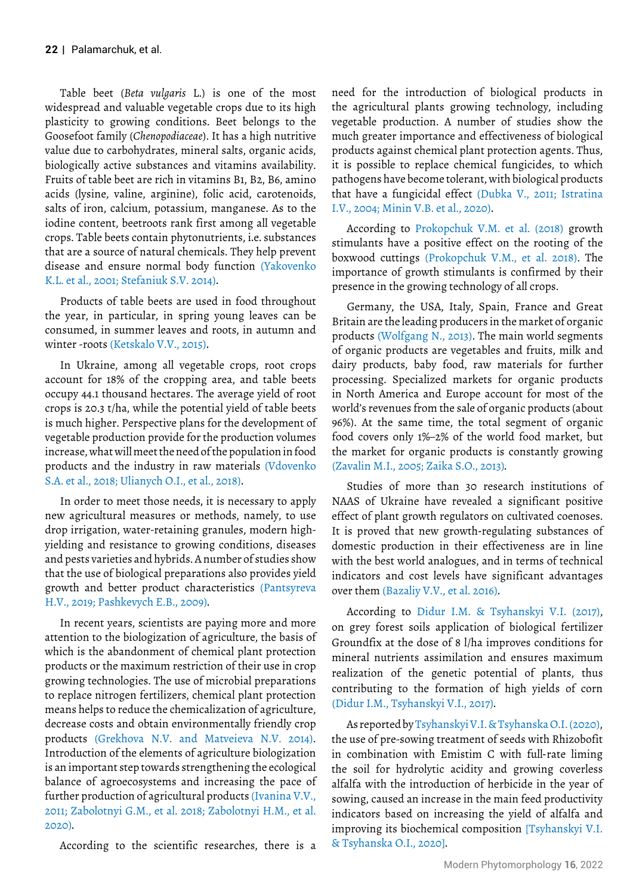Table beet (*Beta vulgaris* L.) is one of the most widespread and valuable vegetable crops due to its high plasticity to growing conditions. Beet belongs to the Goosefoot family (*Chenopodiaceae*). It has a high nutritive value due to carbohydrates, mineral salts, organic acids, biologically active substances and vitamins availability. Fruits of table beet are rich in vitamins B1, B2, B6, amino acids (lysine, valine, arginine), folic acid, carotenoids, salts of iron, calcium, potassium, manganese. As to the iodine content, beetroots rank first among all vegetable crops. Table beets contain phytonutrients, i.e. substances that are a source of natural chemicals. They help prevent disease and ensure normal body function (Yakovenko K.L. et al., 2001; Stefaniuk S.V. 2014).

Products of table beets are used in food throughout the year, in particular, in spring young leaves can be consumed, in summer leaves and roots, in autumn and winter -roots (Ketskalo V.V., 2015).

In Ukraine, among all vegetable crops, root crops account for 18% of the cropping area, and table beets occupy 44.1 thousand hectares. The average yield of root crops is 20.3 t/ha, while the potential yield of table beets is much higher. Perspective plans for the development of vegetable production provide for the production volumes increase, what will meet the need of the population in food products and the industry in raw materials (Vdovenko S.A. et al., 2018; Ulianych O.I., et al., 2018).

In order to meet those needs, it is necessary to apply new agricultural measures or methods, namely, to use drop irrigation, water-retaining granules, modern highyielding and resistance to growing conditions, diseases and pests varieties and hybrids. A number of studies show that the use of biological preparations also provides yield growth and better product characteristics (Pantsyreva H.V., 2019; Pashkevych E.B., 2009).

In recent years, scientists are paying more and more attention to the biologization of agriculture, the basis of which is the abandonment of chemical plant protection products or the maximum restriction of their use in crop growing technologies. The use of microbial preparations to replace nitrogen fertilizers, chemical plant protection means helps to reduce the chemicalization of agriculture, decrease costs and obtain environmentally friendly crop products (Grekhova N.V. and Matveieva N.V. 2014). Introduction of the elements of agriculture biologization is an important step towards strengthening the ecological balance of agroecosystems and increasing the pace of further production of agricultural products (Ivanina V.V., 2011; Zabolotnyi G.M., et al. 2018; Zabolotnyi H.M., et al. 2020).

According to the scientific researches, there is a

need for the introduction of biological products in the agricultural plants growing technology, including vegetable production. A number of studies show the much greater importance and effectiveness of biological products against chemical plant protection agents. Thus, it is possible to replace chemical fungicides, to which pathogens have become tolerant, with biological products that have a fungicidal effect (Dubka V., 2011; Istratina I.V., 2004; Minin V.B. et al., 2020).

According to Prokopchuk V.M. et al. (2018) growth stimulants have a positive effect on the rooting of the boxwood cuttings (Prokopchuk V.M., et al. 2018). The importance of growth stimulants is confirmed by their presence in the growing technology of all crops.

Germany, the USA, Italy, Spain, France and Great Britain are the leading producers in the market of organic products (Wolfgang N., 2013). The main world segments of organic products are vegetables and fruits, milk and dairy products, baby food, raw materials for further processing. Specialized markets for organic products in North America and Europe account for most of the world's revenues from the sale of organic products (about 96%). At the same time, the total segment of organic food covers only 1%–2% of the world food market, but the market for organic products is constantly growing (Zavalin M.I., 2005; Zaika S.O., 2013).

Studies of more than 30 research institutions of NAAS of Ukraine have revealed a significant positive effect of plant growth regulators on cultivated coenoses. It is proved that new growth-regulating substances of domestic production in their effectiveness are in line with the best world analogues, and in terms of technical indicators and cost levels have significant advantages over them (Bazaliy V.V., et al. 2016).

According to Didur I.M. & Tsyhanskyi V.I. (2017), on grey forest soils application of biological fertilizer Groundfix at the dose of 8 l/ha improves conditions for mineral nutrients assimilation and ensures maximum realization of the genetic potential of plants, thus contributing to the formation of high yields of corn (Didur I.M., Tsyhanskyi V.I., 2017).

As reported by Tsyhanskyi V.I. & Tsyhanska O.I. (2020), the use of pre-sowing treatment of seeds with Rhizobofit in combination with Emistim C with full-rate liming the soil for hydrolytic acidity and growing coverless alfalfa with the introduction of herbicide in the year of sowing, caused an increase in the main feed productivity indicators based on increasing the yield of alfalfa and improving its biochemical composition [Tsyhanskyi V.I. & Tsyhanska O.I., 2020].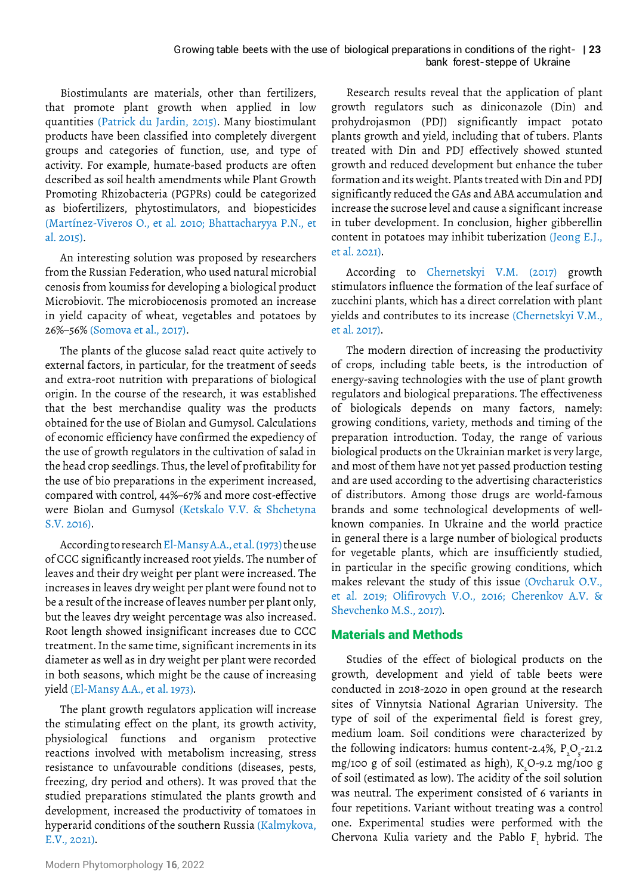### bank forest-steppe of Ukraine Growing table beets with the use of biological preparations in conditions of the right- 123

Biostimulants are materials, other than fertilizers, that promote plant growth when applied in low quantities (Patrick du Jardin, 2015). Many biostimulant products have been classified into completely divergent groups and categories of function, use, and type of activity. For example, humate-based products are often described as soil health amendments while Plant Growth Promoting Rhizobacteria (PGPRs) could be categorized as biofertilizers, phytostimulators, and biopesticides (Martínez-Viveros O., et al. 2010; Bhattacharyya P.N., et al. 2015).

An interesting solution was proposed by researchers from the Russian Federation, who used natural microbial cenosis from koumiss for developing a biological product Microbiovit. The microbiocenosis promoted an increase in yield capacity of wheat, vegetables and potatoes by 26%–56% (Somova et al., 2017).

The plants of the glucose salad react quite actively to external factors, in particular, for the treatment of seeds and extra-root nutrition with preparations of biological origin. In the course of the research, it was established that the best merchandise quality was the products obtained for the use of Biolan and Gumysol. Calculations of economic efficiency have confirmed the expediency of the use of growth regulators in the cultivation of salad in the head crop seedlings. Thus, the level of profitability for the use of bio preparations in the experiment increased, compared with control, 44%–67% and more cost-effective were Biolan and Gumysol (Ketskalo V.V. & Shchetyna S.V. 2016).

According to research El-Mansy A.A., et al. (1973) the use of CCC significantly increased root yields. The number of leaves and their dry weight per plant were increased. The increases in leaves dry weight per plant were found not to be a result of the increase of leaves number per plant only, but the leaves dry weight percentage was also increased. Root length showed insignificant increases due to CCC treatment. In the same time, significant increments in its diameter as well as in dry weight per plant were recorded in both seasons, which might be the cause of increasing yield (El-Mansy A.A., et al. 1973).

The plant growth regulators application will increase the stimulating effect on the plant, its growth activity, physiological functions and organism protective reactions involved with metabolism increasing, stress resistance to unfavourable conditions (diseases, pests, freezing, dry period and others). It was proved that the studied preparations stimulated the plants growth and development, increased the productivity of tomatoes in hyperarid conditions of the southern Russia (Kalmykova, E.V., 2021).

Research results reveal that the application of plant growth regulators such as diniconazole (Din) and prohydrojasmon (PDJ) significantly impact potato plants growth and yield, including that of tubers. Plants treated with Din and PDJ effectively showed stunted growth and reduced development but enhance the tuber formation and its weight. Plants treated with Din and PDJ significantly reduced the GAs and ABA accumulation and increase the sucrose level and cause a significant increase in tuber development. In conclusion, higher gibberellin content in potatoes may inhibit tuberization (Jeong E.J., et al. 2021).

According to Chernetskyi V.M. (2017) growth stimulators influence the formation of the leaf surface of zucchini plants, which has a direct correlation with plant yields and contributes to its increase (Chernetskyi V.M., et al. 2017).

The modern direction of increasing the productivity of crops, including table beets, is the introduction of energy-saving technologies with the use of plant growth regulators and biological preparations. The effectiveness of biologicals depends on many factors, namely: growing conditions, variety, methods and timing of the preparation introduction. Today, the range of various biological products on the Ukrainian market is very large, and most of them have not yet passed production testing and are used according to the advertising characteristics of distributors. Among those drugs are world-famous brands and some technological developments of wellknown companies. In Ukraine and the world practice in general there is a large number of biological products for vegetable plants, which are insufficiently studied, in particular in the specific growing conditions, which makes relevant the study of this issue (Ovcharuk O.V., et al. 2019; Olifirovych V.O., 2016; Cherenkov A.V. & Shevchenko M.S., 2017).

# Materials and Methods

Studies of the effect of biological products on the growth, development and yield of table beets were conducted in 2018-2020 in open ground at the research sites of Vinnytsia National Agrarian University. The type of soil of the experimental field is forest grey, medium loam. Soil conditions were characterized by the following indicators: humus content-2.4%,  $P_2O_5$ -21.2 mg/100 g of soil (estimated as high),  $K_2O$ -9.2 mg/100 g of soil (estimated as low). The acidity of the soil solution was neutral. The experiment consisted of 6 variants in four repetitions. Variant without treating was a control one. Experimental studies were performed with the Chervona Kulia variety and the Pablo  $F_i$  hybrid. The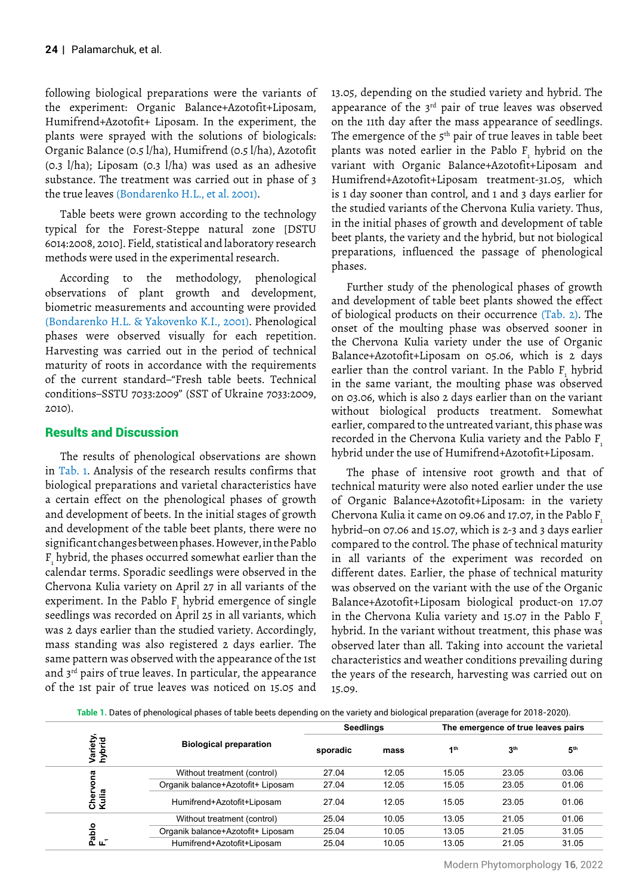following biological preparations were the variants of the experiment: Organic Balance+Azotofit+Liposam, Humifrend+Azotofit+ Liposam. In the experiment, the plants were sprayed with the solutions of biologicals: Organic Balance (0.5 l/ha), Humifrend (0.5 l/ha), Azotofit (0.3 l/ha); Liposam (0.3 l/ha) was used as an adhesive substance. The treatment was carried out in phase of 3 the true leaves (Bondarenko H.L., et al. 2001).

Table beets were grown according to the technology typical for the Forest-Steppe natural zone [DSTU 6014:2008, 2010]. Field, statistical and laboratory research methods were used in the experimental research.

According to the methodology, phenological observations of plant growth and development, biometric measurements and accounting were provided (Bondarenko H.L. & Yakovenko K.I., 2001). Phenological phases were observed visually for each repetition. Harvesting was carried out in the period of technical maturity of roots in accordance with the requirements of the current standard–"Fresh table beets. Technical conditions–SSTU 7033:2009" (SST of Ukraine 7033:2009, 2010).

# Results and Discussion

The results of phenological observations are shown in Tab. 1. Analysis of the research results confirms that biological preparations and varietal characteristics have a certain effect on the phenological phases of growth and development of beets. In the initial stages of growth and development of the table beet plants, there were no significant changes between phases. However, in the Pablo  ${\tt F}_{\!_1}$ hybrid, the phases occurred somewhat earlier than the calendar terms. Sporadic seedlings were observed in the Chervona Kulia variety on April 27 in all variants of the experiment. In the Pablo  $F_1$  hybrid emergence of single seedlings was recorded on April 25 in all variants, which was 2 days earlier than the studied variety. Accordingly, mass standing was also registered 2 days earlier. The same pattern was observed with the appearance of the 1st and 3rd pairs of true leaves. In particular, the appearance of the 1st pair of true leaves was noticed on 15.05 and

13.05, depending on the studied variety and hybrid. The appearance of the 3<sup>rd</sup> pair of true leaves was observed on the 11th day after the mass appearance of seedlings. The emergence of the 5<sup>th</sup> pair of true leaves in table beet plants was noted earlier in the Pablo  $F_1$  hybrid on the variant with Organic Balance+Azotofit+Liposam and Humifrend+Azotofit+Liposam treatment-31.05, which is 1 day sooner than control, and 1 and 3 days earlier for the studied variants of the Chervona Kulia variety. Thus, in the initial phases of growth and development of table beet plants, the variety and the hybrid, but not biological preparations, influenced the passage of phenological phases.

Further study of the phenological phases of growth and development of table beet plants showed the effect of biological products on their occurrence (Tab. 2). The onset of the moulting phase was observed sooner in the Chervona Kulia variety under the use of Organic Balance+Azotofit+Liposam on 05.06, which is 2 days earlier than the control variant. In the Pablo  $F_1$  hybrid in the same variant, the moulting phase was observed on 03.06, which is also 2 days earlier than on the variant without biological products treatment. Somewhat earlier, compared to the untreated variant, this phase was recorded in the Chervona Kulia variety and the Pablo F<sub>1</sub> hybrid under the use of Humifrend+Azotofit+Liposam.

The phase of intensive root growth and that of technical maturity were also noted earlier under the use of Organic Balance+Azotofit+Liposam: in the variety Chervona Kulia it came on 09.06 and 17.07, in the Pablo F1 hybrid–on 07.06 and 15.07, which is 2-3 and 3 days earlier compared to the control. The phase of technical maturity in all variants of the experiment was recorded on different dates. Earlier, the phase of technical maturity was observed on the variant with the use of the Organic Balance+Azotofit+Liposam biological product-on 17.07 in the Chervona Kulia variety and 15.07 in the Pablo F. hybrid. In the variant without treatment, this phase was observed later than all. Taking into account the varietal characteristics and weather conditions prevailing during the years of the research, harvesting was carried out on 15.09.

**Table 1.** Dates of phenological phases of table beets depending on the variety and biological preparation (average for 2018-2020).

|                                                   |                                   | <b>Seedlings</b> |       | The emergence of true leaves pairs |                 |                 |
|---------------------------------------------------|-----------------------------------|------------------|-------|------------------------------------|-----------------|-----------------|
| Variety,<br>hybrid                                | <b>Biological preparation</b>     | sporadic         | mass  | 1 <sup>th</sup>                    | 3 <sup>th</sup> | 5 <sup>th</sup> |
|                                                   | Without treatment (control)       | 27.04            | 12.05 | 15.05                              | 23.05           | 03.06           |
|                                                   | Organik balance+Azotofit+ Liposam | 27.04            | 12.05 | 15.05                              | 23.05           | 01.06           |
| ;hervona<br>.ulia<br>$\bar{o}$ $\bar{\mathbf{x}}$ | Humifrend+Azotofit+Liposam        | 27.04            | 12.05 | 15.05                              | 23.05           | 01.06           |
|                                                   | Without treatment (control)       | 25.04            | 10.05 | 13.05                              | 21.05           | 01.06           |
| Pablo<br>F                                        | Organik balance+Azotofit+ Liposam | 25.04            | 10.05 | 13.05                              | 21.05           | 31.05           |
|                                                   | Humifrend+Azotofit+Liposam        | 25.04            | 10.05 | 13.05                              | 21.05           | 31.05           |

Modern Phytomorphology **16**, 2022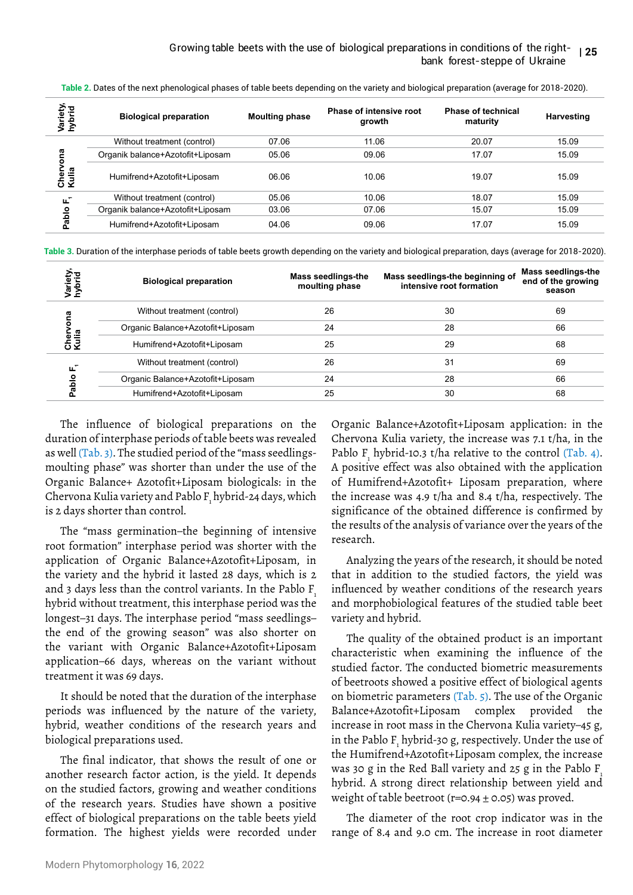| Variety,<br>hybrid      | <b>Biological preparation</b>    | <b>Moulting phase</b> | Phase of intensive root<br>growth | <b>Phase of technical</b><br>maturity | Harvesting |
|-------------------------|----------------------------------|-----------------------|-----------------------------------|---------------------------------------|------------|
|                         | Without treatment (control)      | 07.06                 | 11.06                             | 20.07                                 | 15.09      |
| vona<br>eil<br>리<br>⊻ ن | Organik balance+Azotofit+Liposam | 05.06                 | 09.06                             | 17.07                                 | 15.09      |
|                         | Humifrend+Azotofit+Liposam       | 06.06                 | 10.06                             | 19.07                                 | 15.09      |
| $\mathbf$<br>ட          | Without treatment (control)      | 05.06                 | 10.06                             | 18.07                                 | 15.09      |
| Pablo                   | Organik balance+Azotofit+Liposam | 03.06                 | 07.06                             | 15.07                                 | 15.09      |
|                         | Humifrend+Azotofit+Liposam       | 04.06                 | 09.06                             | 17.07                                 | 15.09      |

Table 2. Dates of the next phenological phases of table beets depending on the variety and biological preparation (average for 2018-2020).

**Table 3.** Duration of the interphase periods of table beets growth depending on the variety and biological preparation, days (average for 2018-2020).

| Variety<br>hybrid    | <b>Biological preparation</b>    | <b>Mass seedlings-the</b><br>moulting phase | Mass seedlings-the beginning of<br>intensive root formation | Mass seedlings-the<br>end of the growing<br>season |
|----------------------|----------------------------------|---------------------------------------------|-------------------------------------------------------------|----------------------------------------------------|
| ona<br>Cher<br>Kulia | Without treatment (control)      | 26                                          | 30                                                          | 69                                                 |
|                      | Organic Balance+Azotofit+Liposam | 24                                          | 28                                                          | 66                                                 |
|                      | Humifrend+Azotofit+Liposam       | 25                                          | 29                                                          | 68                                                 |
| щ<br>olqe.           | Without treatment (control)      | 26                                          | 31                                                          | 69                                                 |
|                      | Organic Balance+Azotofit+Liposam | 24                                          | 28                                                          | 66                                                 |
|                      | Humifrend+Azotofit+Liposam       | 25                                          | 30                                                          | 68                                                 |

The influence of biological preparations on the duration of interphase periods of table beets was revealed as well (Tab. 3). The studied period of the "mass seedlingsmoulting phase" was shorter than under the use of the Organic Balance+ Azotofit+Liposam biologicals: in the Chervona Kulia variety and Pablo F $_{\rm i}$  hybrid-24 days, which is 2 days shorter than control.

The "mass germination–the beginning of intensive root formation" interphase period was shorter with the application of Organic Balance+Azotofit+Liposam, in the variety and the hybrid it lasted 28 days, which is 2 and 3 days less than the control variants. In the Pablo F hybrid without treatment, this interphase period was the longest–31 days. The interphase period "mass seedlings– the end of the growing season" was also shorter on the variant with Organic Balance+Azotofit+Liposam application–66 days, whereas on the variant without treatment it was 69 days. For a model of the highest states of the highest states without treatment (control) 07.06<br>  $\frac{1}{2}$  (Manih balance+Azotofit+Liposam 08.06<br>  $\frac{1}{2}$  (Manih balance+Azotofit+Liposam 08.06<br>  $\frac{1}{2}$  (Manih balance+Azotofit

It should be noted that the duration of the interphase periods was influenced by the nature of the variety, hybrid, weather conditions of the research years and biological preparations used.

The final indicator, that shows the result of one or another research factor action, is the yield. It depends on the studied factors, growing and weather conditions of the research years. Studies have shown a positive effect of biological preparations on the table beets yield Organic Balance+Azotofit+Liposam application: in the Chervona Kulia variety, the increase was 7.1 t/ha, in the Pablo  $F_1$  hybrid-10.3 t/ha relative to the control (Tab. 4). A positive effect was also obtained with the application of Humifrend+Azotofit+ Liposam preparation, where the increase was 4.9 t/ha and 8.4 t/ha, respectively. The significance of the obtained difference is confirmed by the results of the analysis of variance over the years of the research.

Analyzing the years of the research, it should be noted that in addition to the studied factors, the yield was influenced by weather conditions of the research years and morphobiological features of the studied table beet variety and hybrid.

The quality of the obtained product is an important characteristic when examining the influence of the studied factor. The conducted biometric measurements of beetroots showed a positive effect of biological agents on biometric parameters (Tab. 5). The use of the Organic Balance+Azotofit+Liposam complex provided the increase in root mass in the Chervona Kulia variety–45 g, in the Pablo  $F_1$  hybrid-30 g, respectively. Under the use of the Humifrend+Azotofit+Liposam complex, the increase was 30 g in the Red Ball variety and 25 g in the Pablo F hybrid. A strong direct relationship between yield and weight of table beetroot ( $r=0.94 \pm 0.05$ ) was proved.

The diameter of the root crop indicator was in the range of 8.4 and 9.0 cm. The increase in root diameter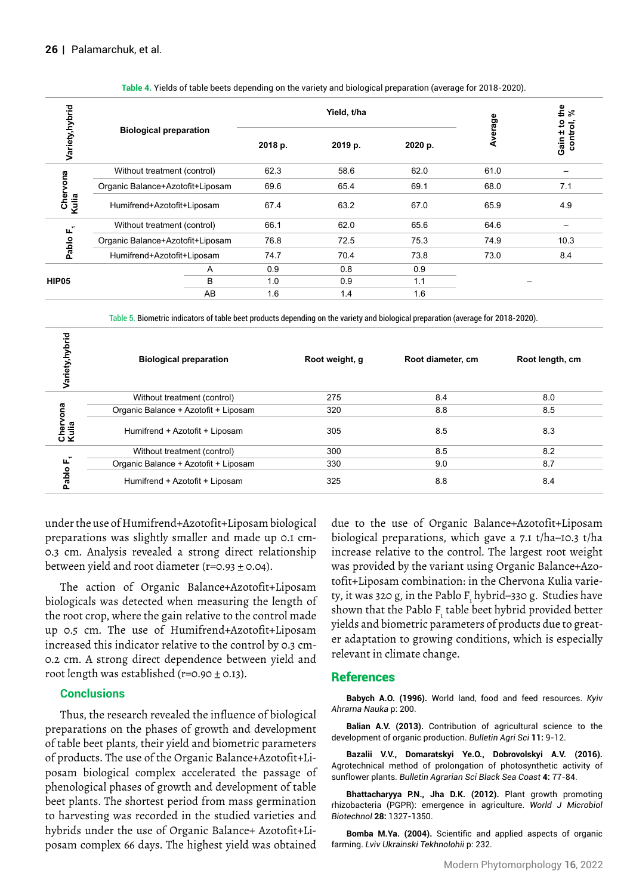| Variety, hybrid      |                                  |         | Yield, t/ha |         |         | ូង<br>អ្ន             |
|----------------------|----------------------------------|---------|-------------|---------|---------|-----------------------|
|                      | <b>Biological preparation</b>    | 2018 p. | 2019 p.     | 2020 p. | Average | Gain ± to<br>control, |
|                      | Without treatment (control)      | 62.3    | 58.6        | 62.0    | 61.0    |                       |
|                      | Organic Balance+Azotofit+Liposam | 69.6    | 65.4        | 69.1    | 68.0    | 7.1                   |
| Chervona<br>Kulia    | Humifrend+Azotofit+Liposam       | 67.4    | 63.2        | 67.0    | 65.9    | 4.9                   |
|                      | Without treatment (control)      | 66.1    | 62.0        | 65.6    | 64.6    |                       |
| Pablo F <sub>1</sub> | Organic Balance+Azotofit+Liposam | 76.8    | 72.5        | 75.3    | 74.9    | 10.3                  |
|                      | Humifrend+Azotofit+Liposam       | 74.7    | 70.4        | 73.8    | 73.0    | 8.4                   |
| HIP05                | A                                | 0.9     | 0.8         | 0.9     |         |                       |
|                      | B                                | 1.0     | 0.9         | 1.1     |         |                       |
|                      | AB                               | 1.6     | 1.4         | 1.6     |         |                       |

#### **Table 4.** Yields of table beets depending on the variety and biological preparation (average for 2018-2020).

Table 5. Biometric indicators of table beet products depending on the variety and biological preparation (average for 2018-2020).

| Variety, hybrid      | <b>Biological preparation</b>        | Root weight, g | Root diameter, cm | Root length, cm |
|----------------------|--------------------------------------|----------------|-------------------|-----------------|
|                      | Without treatment (control)          | 275            | 8.4               | 8.0             |
| guo<br>Cher<br>Kulia | Organic Balance + Azotofit + Liposam | 320            | 8.8               | 8.5             |
|                      | Humifrend + Azotofit + Liposam       | 305            | 8.5               | 8.3             |
| ட<br>Pablo           | Without treatment (control)          | 300            | 8.5               | 8.2             |
|                      | Organic Balance + Azotofit + Liposam | 330            | 9.0               | 8.7             |
|                      | Humifrend + Azotofit + Liposam       | 325            | 8.8               | 8.4             |

under the use of Humifrend+Azotofit+Liposam biological preparations was slightly smaller and made up 0.1 cm-0.3 cm. Analysis revealed a strong direct relationship between yield and root diameter ( $r=0.93 \pm 0.04$ ).

The action of Organic Balance+Azotofit+Liposam biologicals was detected when measuring the length of the root crop, where the gain relative to the control made up 0.5 cm. The use of Humifrend+Azotofit+Liposam increased this indicator relative to the control by 0.3 cm-0.2 cm. A strong direct dependence between yield and root length was established ( $r=0.90 \pm 0.13$ ).

### **Conclusions**

Thus, the research revealed the influence of biological preparations on the phases of growth and development of table beet plants, their yield and biometric parameters of products. The use of the Organic Balance+Azotofit+Liposam biological complex accelerated the passage of phenological phases of growth and development of table beet plants. The shortest period from mass germination to harvesting was recorded in the studied varieties and hybrids under the use of Organic Balance+ Azotofit+Liposam complex 66 days. The highest yield was obtained due to the use of Organic Balance+Azotofit+Liposam biological preparations, which gave a 7.1 t/ha–10.3 t/ha increase relative to the control. The largest root weight was provided by the variant using Organic Balance+Azotofit+Liposam combination: in the Chervona Kulia variety, it was 320 g, in the Pablo F<sub>1</sub> hybrid–330 g. Studies have shown that the Pablo  $\text{F}_{\text{i}}$  table beet hybrid provided better yields and biometric parameters of products due to greater adaptation to growing conditions, which is especially relevant in climate change.

### References

**Babych A.O. (1996).** [World land, food and feed resources.](https://fri-journal.com/index.php/journal/article/view/884) *Kyiv Ahrarna Nauka* p: 200.

**Balian A.V. (2013).** [Contribution of agricultural science to the](https://fri-journal.com/index.php/journal/article/view/884)  [development of organic production](https://fri-journal.com/index.php/journal/article/view/884). *Bulletin Agri Sci* **11:** 9-12.

**Bazalii V.V., Domaratskyi Ye.O., Dobrovolskyi A.V. (2016).**  [Agrotechnical method of prolongation of photosynthetic activity of](http://www.ksau.kherson.ua/files/avtoreferaty_dysertaciyi/%D0%94%D0%B8%D1%81%D0%B5%D1%80%D1%82%D0%B0%D1%86%D1%96%D1%8F %D0%94%D0%BE%D0%B1%D1%80%D0%BE%D0%B2%D0%BE%D0%BB%D1%8C%D1%81%D1%8C%D0%BA%D0%B8%D0%B9 %D0%90.%D0%92..pdf)  [sunflower plants.](http://www.ksau.kherson.ua/files/avtoreferaty_dysertaciyi/%D0%94%D0%B8%D1%81%D0%B5%D1%80%D1%82%D0%B0%D1%86%D1%96%D1%8F %D0%94%D0%BE%D0%B1%D1%80%D0%BE%D0%B2%D0%BE%D0%BB%D1%8C%D1%81%D1%8C%D0%BA%D0%B8%D0%B9 %D0%90.%D0%92..pdf) *Bulletin Agrarian Sci Black Sea Coast* **4:** 77-84.

**Bhattacharyya P.N., Jha D.K. (2012).** [Plant growth promoting](https://pubmed.ncbi.nlm.nih.gov/22805914/)  [rhizobacteria \(PGPR\): emergence in agriculture.](https://pubmed.ncbi.nlm.nih.gov/22805914/) *World J Microbiol Biotechnol* **28:** 1327-1350.

**Bomba M.Ya. (2004).** [Scientific and applied aspects of organic](https://scholar.google.com/scholar?hl=en&as_sdt=0%2C5&q=Bomba+M.Ya.+%282004%29.+Naukovi+ta+prykladni+aspekty+biolohichnoho+zemlerobstva+%5BScientific+and+applied+aspects+of+organic+farming%5D.+Lviv%2C+Ukrainski+tekhnolohii%2C+232+p.+%28in+Ukrainian%29.&btnG=)  [farming.](https://scholar.google.com/scholar?hl=en&as_sdt=0%2C5&q=Bomba+M.Ya.+%282004%29.+Naukovi+ta+prykladni+aspekty+biolohichnoho+zemlerobstva+%5BScientific+and+applied+aspects+of+organic+farming%5D.+Lviv%2C+Ukrainski+tekhnolohii%2C+232+p.+%28in+Ukrainian%29.&btnG=) *Lviv Ukrainski Tekhnolohii* p: 232.